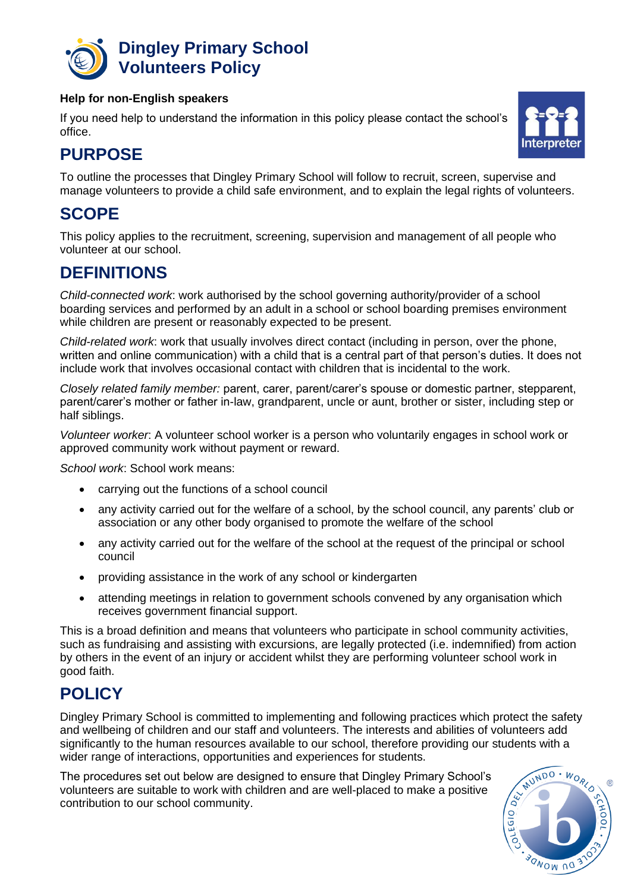

### **Dingley Primary School Volunteers Policy**

#### **Help for non-English speakers**

If you need help to understand the information in this policy please contact the school's office.



# **PURPOSE**

To outline the processes that Dingley Primary School will follow to recruit, screen, supervise and manage volunteers to provide a child safe environment, and to explain the legal rights of volunteers.

### **SCOPE**

This policy applies to the recruitment, screening, supervision and management of all people who volunteer at our school.

### **DEFINITIONS**

*Child-connected work*: work authorised by the school governing authority/provider of a school boarding services and performed by an adult in a school or school boarding premises environment while children are present or reasonably expected to be present.

*Child-related work*: work that usually involves direct contact (including in person, over the phone, written and online communication) with a child that is a central part of that person's duties. It does not include work that involves occasional contact with children that is incidental to the work.

*Closely related family member:* parent, carer, parent/carer's spouse or domestic partner, stepparent, parent/carer's mother or father in-law, grandparent, uncle or aunt, brother or sister, including step or half siblings.

*Volunteer worker*: A volunteer school worker is a person who voluntarily engages in school work or approved community work without payment or reward.

*School work*: School work means:

- carrying out the functions of a school council
- any activity carried out for the welfare of a school, by the school council, any parents' club or association or any other body organised to promote the welfare of the school
- any activity carried out for the welfare of the school at the request of the principal or school council
- providing assistance in the work of any school or kindergarten
- attending meetings in relation to government schools convened by any organisation which receives government financial support.

This is a broad definition and means that volunteers who participate in school community activities, such as fundraising and assisting with excursions, are legally protected (i.e. indemnified) from action by others in the event of an injury or accident whilst they are performing volunteer school work in good faith.

## **POLICY**

Dingley Primary School is committed to implementing and following practices which protect the safety and wellbeing of children and our staff and volunteers. The interests and abilities of volunteers add significantly to the human resources available to our school, therefore providing our students with a wider range of interactions, opportunities and experiences for students.

The procedures set out below are designed to ensure that Dingley Primary School's volunteers are suitable to work with children and are well-placed to make a positive contribution to our school community.

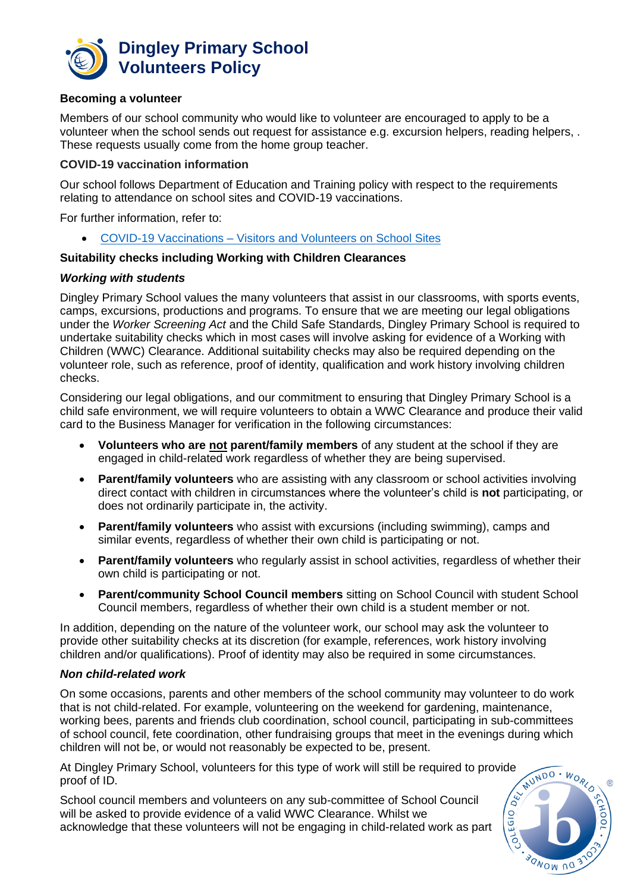

#### **Becoming a volunteer**

Members of our school community who would like to volunteer are encouraged to apply to be a volunteer when the school sends out request for assistance e.g. excursion helpers, reading helpers, . These requests usually come from the home group teacher.

#### **COVID-19 vaccination information**

Our school follows Department of Education and Training policy with respect to the requirements relating to attendance on school sites and COVID-19 vaccinations.

For further information, refer to:

• COVID-19 Vaccinations – [Visitors and Volunteers on School Sites](https://www2.education.vic.gov.au/pal/covid-19-vaccinations-visitors-volunteers/policy)

#### **Suitability checks including Working with Children Clearances**

#### *Working with students*

Dingley Primary School values the many volunteers that assist in our classrooms, with sports events, camps, excursions, productions and programs. To ensure that we are meeting our legal obligations under the *Worker Screening Act* and the Child Safe Standards, Dingley Primary School is required to undertake suitability checks which in most cases will involve asking for evidence of a Working with Children (WWC) Clearance. Additional suitability checks may also be required depending on the volunteer role, such as reference, proof of identity, qualification and work history involving children checks.

Considering our legal obligations, and our commitment to ensuring that Dingley Primary School is a child safe environment, we will require volunteers to obtain a WWC Clearance and produce their valid card to the Business Manager for verification in the following circumstances:

- **Volunteers who are not parent/family members** of any student at the school if they are engaged in child-related work regardless of whether they are being supervised.
- **Parent/family volunteers** who are assisting with any classroom or school activities involving direct contact with children in circumstances where the volunteer's child is **not** participating, or does not ordinarily participate in, the activity.
- **Parent/family volunteers** who assist with excursions (including swimming), camps and similar events, regardless of whether their own child is participating or not.
- **Parent/family volunteers** who regularly assist in school activities, regardless of whether their own child is participating or not.
- **Parent/community School Council members** sitting on School Council with student School Council members, regardless of whether their own child is a student member or not.

In addition, depending on the nature of the volunteer work, our school may ask the volunteer to provide other suitability checks at its discretion (for example, references, work history involving children and/or qualifications). Proof of identity may also be required in some circumstances.

#### *Non child-related work*

On some occasions, parents and other members of the school community may volunteer to do work that is not child-related. For example, volunteering on the weekend for gardening, maintenance, working bees, parents and friends club coordination, school council, participating in sub-committees of school council, fete coordination, other fundraising groups that meet in the evenings during which children will not be, or would not reasonably be expected to be, present.

At Dingley Primary School, volunteers for this type of work will still be required to provide proof of ID.

School council members and volunteers on any sub-committee of School Council will be asked to provide evidence of a valid WWC Clearance. Whilst we acknowledge that these volunteers will not be engaging in child-related work as part

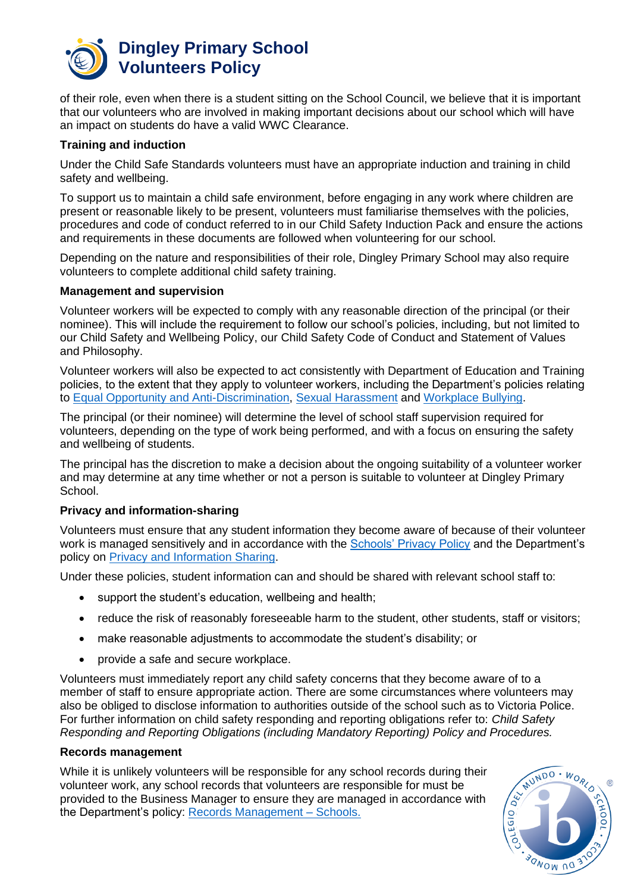

### **Dingley Primary School Volunteers Policy**

of their role, even when there is a student sitting on the School Council, we believe that it is important that our volunteers who are involved in making important decisions about our school which will have an impact on students do have a valid WWC Clearance.

#### **Training and induction**

Under the Child Safe Standards volunteers must have an appropriate induction and training in child safety and wellbeing.

To support us to maintain a child safe environment, before engaging in any work where children are present or reasonable likely to be present, volunteers must familiarise themselves with the policies, procedures and code of conduct referred to in our Child Safety Induction Pack and ensure the actions and requirements in these documents are followed when volunteering for our school.

Depending on the nature and responsibilities of their role, Dingley Primary School may also require volunteers to complete additional child safety training.

#### **Management and supervision**

Volunteer workers will be expected to comply with any reasonable direction of the principal (or their nominee). This will include the requirement to follow our school's policies, including, but not limited to our Child Safety and Wellbeing Policy, our Child Safety Code of Conduct and Statement of Values and Philosophy.

Volunteer workers will also be expected to act consistently with Department of Education and Training policies, to the extent that they apply to volunteer workers, including the Department's policies relating to [Equal Opportunity and Anti-Discrimination,](https://www2.education.vic.gov.au/pal/equal-opportunity/policy-and-guidelines) [Sexual Harassment](https://www2.education.vic.gov.au/pal/sexual-harassment/overview) and [Workplace Bullying.](https://www2.education.vic.gov.au/pal/workplace-bullying/policy)

The principal (or their nominee) will determine the level of school staff supervision required for volunteers, depending on the type of work being performed, and with a focus on ensuring the safety and wellbeing of students.

The principal has the discretion to make a decision about the ongoing suitability of a volunteer worker and may determine at any time whether or not a person is suitable to volunteer at Dingley Primary School.

#### **Privacy and information-sharing**

Volunteers must ensure that any student information they become aware of because of their volunteer work is managed sensitively and in accordance with the [Schools' Privacy Policy](https://www.education.vic.gov.au/Pages/schoolsprivacypolicy.aspx) and the Department's policy on [Privacy and Information Sharing.](https://www2.education.vic.gov.au/pal/privacy-information-sharing/policy)

Under these policies, student information can and should be shared with relevant school staff to:

- support the student's education, wellbeing and health;
- reduce the risk of reasonably foreseeable harm to the student, other students, staff or visitors;
- make reasonable adjustments to accommodate the student's disability; or
- provide a safe and secure workplace.

Volunteers must immediately report any child safety concerns that they become aware of to a member of staff to ensure appropriate action. There are some circumstances where volunteers may also be obliged to disclose information to authorities outside of the school such as to Victoria Police. For further information on child safety responding and reporting obligations refer to: *Child Safety Responding and Reporting Obligations (including Mandatory Reporting) Policy and Procedures.* 

#### **Records management**

While it is unlikely volunteers will be responsible for any school records during their volunteer work, any school records that volunteers are responsible for must be provided to the Business Manager to ensure they are managed in accordance with the Department's policy: [Records Management –](https://www2.education.vic.gov.au/pal/records-management/policy) Schools.

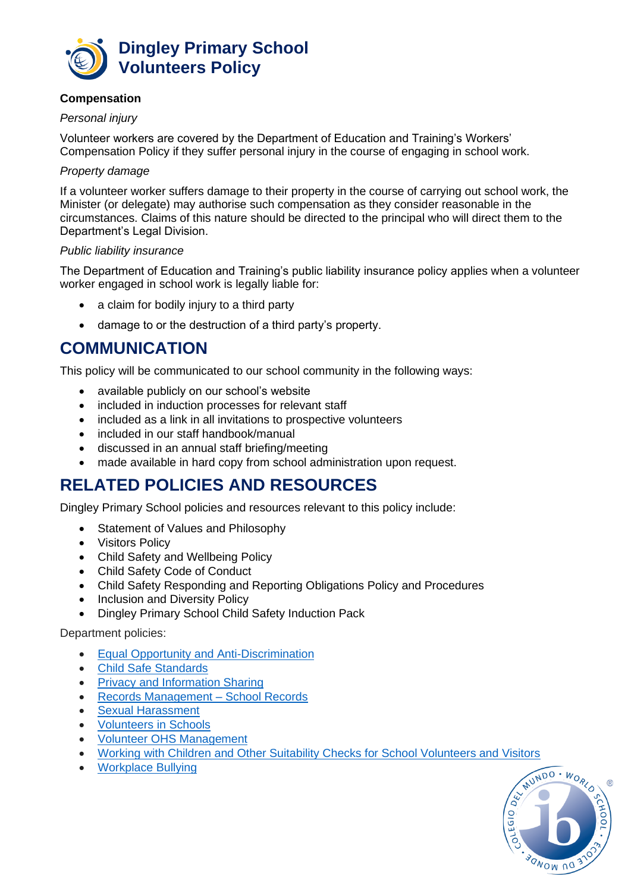

#### **Compensation**

#### *Personal injury*

Volunteer workers are covered by the Department of Education and Training's Workers' Compensation Policy if they suffer personal injury in the course of engaging in school work.

#### *Property damage*

If a volunteer worker suffers damage to their property in the course of carrying out school work, the Minister (or delegate) may authorise such compensation as they consider reasonable in the circumstances. Claims of this nature should be directed to the principal who will direct them to the Department's Legal Division.

#### *Public liability insurance*

The Department of Education and Training's public liability insurance policy applies when a volunteer worker engaged in school work is legally liable for:

- a claim for bodily injury to a third party
- damage to or the destruction of a third party's property.

### **COMMUNICATION**

This policy will be communicated to our school community in the following ways:

- available publicly on our school's website
- included in induction processes for relevant staff
- included as a link in all invitations to prospective volunteers
- included in our staff handbook/manual
- discussed in an annual staff briefing/meeting
- made available in hard copy from school administration upon request.

### **RELATED POLICIES AND RESOURCES**

Dingley Primary School policies and resources relevant to this policy include:

- Statement of Values and Philosophy
- Visitors Policy
- Child Safety and Wellbeing Policy
- Child Safety Code of Conduct
- Child Safety Responding and Reporting Obligations Policy and Procedures
- Inclusion and Diversity Policy
- Dingley Primary School Child Safety Induction Pack

#### Department policies:

- [Equal Opportunity and Anti-Discrimination](https://www2.education.vic.gov.au/pal/equal-opportunity/policy-and-guidelines)
- [Child Safe Standards](https://www2.education.vic.gov.au/pal/child-safe-standards/policy)
- [Privacy and Information Sharing](https://www2.education.vic.gov.au/pal/privacy-information-sharing/policy)
- [Records Management –](https://www2.education.vic.gov.au/pal/records-management/policy) School Records
- [Sexual Harassment](https://www2.education.vic.gov.au/pal/sexual-harassment/policy-and-guidelines)
- [Volunteers in Schools](https://www2.education.vic.gov.au/pal/volunteers/policy)
- [Volunteer OHS Management](https://www2.education.vic.gov.au/pal/volunteer-ohs-management/policy)
- [Working with Children and Other Suitability Checks for School Volunteers and Visitors](https://www2.education.vic.gov.au/pal/suitability-checks/policy)
- [Workplace Bullying](https://www2.education.vic.gov.au/pal/workplace-bullying/policy)